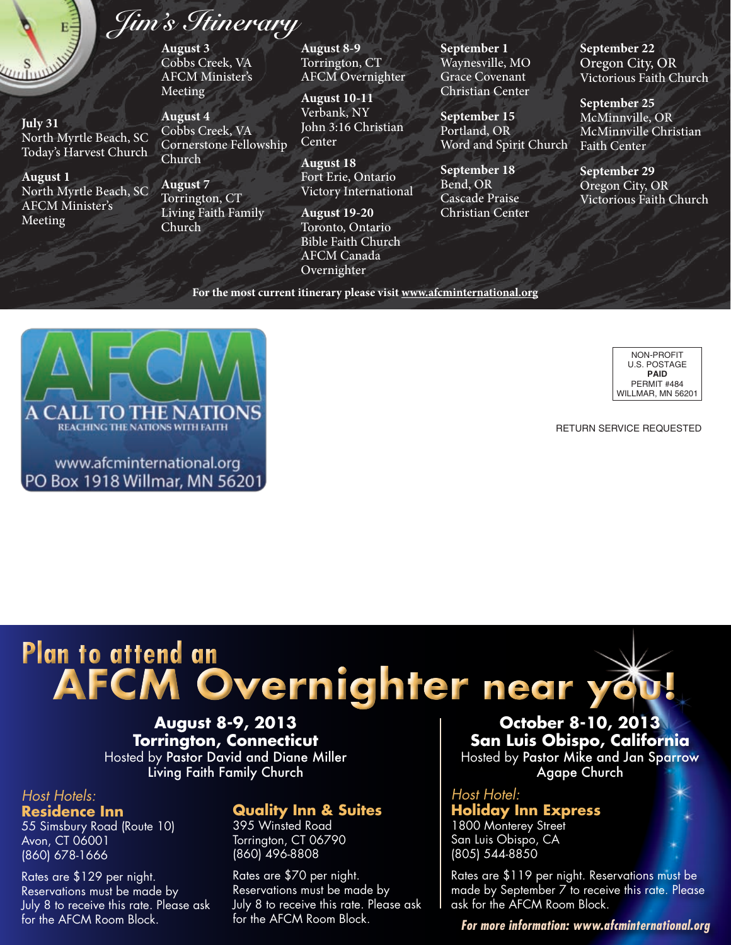

**July 31** North Myrtle Beach, SC Today's Harvest Church

**August 1** North Myrtle Beach, SC AFCM Minister's Meeting

## *Jim's Itinerary*

**August 3** Cobbs Creek, VA AFCM Minister's Meeting

**August 4** Cobbs Creek, VA Cornerstone Fellowship Church

**August 7** Torrington, CT Living Faith Family Church

**August 8-9** Torrington, CT AFCM Overnighter

**August 10-11** Verbank, NY John 3:16 Christian Center

**August 18** Fort Erie, Ontario Victory International

**August 19-20** Toronto, Ontario Bible Faith Church AFCM Canada Overnighter

**September 1** Waynesville, MO Grace Covenant Christian Center

**September 15** Portland, OR Word and Spirit Church

**September 18** Bend, OR Cascade Praise Christian Center **September 22** Oregon City, OR Victorious Faith Church

**September 25** McMinnville, OR McMinnville Christian Faith Center

**September 29** Oregon City, OR Victorious Faith Church

**For the most current itinerary please visit www.afcminternational.org**





Return Service Requested

# **Plan to attend an AFCM Overnighter near you!**

**August 8-9, 2013 Torrington, Connecticut** Hosted by Pastor David and Diane Miller Living Faith Family Church

#### *Host Hotels:* **Residence Inn**

55 Simsbury Road (Route 10) Avon, CT 06001 (860) 678-1666

Rates are \$129 per night. Reservations must be made by July 8 to receive this rate. Please ask for the AFCM Room Block.

### **Quality Inn & Suites**

395 Winsted Road Torrington, CT 06790 (860) 496-8808

Rates are \$70 per night. Reservations must be made by July 8 to receive this rate. Please ask for the AFCM Room Block.

**October 8-10, 2013 San Luis Obispo, California** Hosted by Pastor Mike and Jan Sparrow Agape Church

*Host Hotel:* **Holiday Inn Express** 1800 Monterey Street San Luis Obispo, CA (805) 544-8850

Rates are \$119 per night. Reservations must be made by September 7 to receive this rate. Please ask for the AFCM Room Block.

*For more information: www.afcminternational.org*